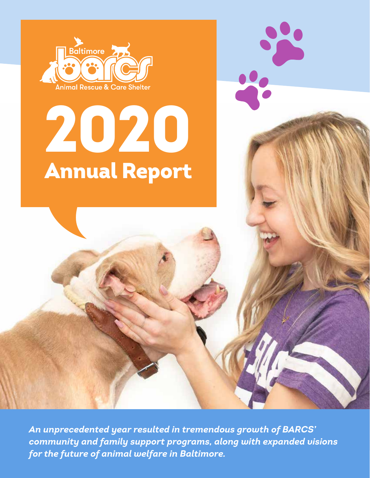

# 2020 Annual Report

*An unprecedented year resulted in tremendous growth of BARCS' community and family support programs, along with expanded visions for the future of animal welfare in Baltimore.*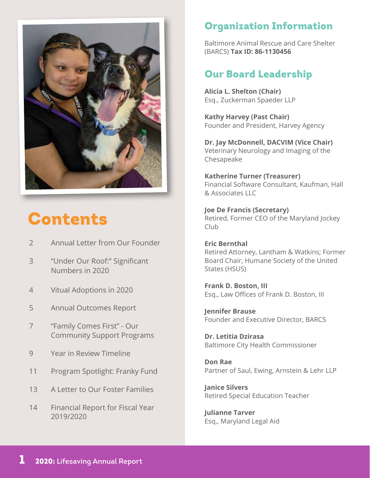

## Contents

- 2 Annual Letter from Our Founder
- 3 "Under Our Roof:" Significant Numbers in 2020
- 4 Vitual Adoptions in 2020
- 5 Annual Outcomes Report
- 7 "Family Comes First" Our Community Support Programs
- 9 Year in Review Timeline
- 11 Program Spotlight: Franky Fund
- 13 A Letter to Our Foster Families
- 14 Financial Report for Fiscal Year 2019/2020

## Organization Information

Baltimore Animal Rescue and Care Shelter (BARCS) **Tax ID: 86-1130456**

## Our Board Leadership

**Alicia L. Shelton (Chair)** Esq., Zuckerman Spaeder LLP

**Kathy Harvey (Past Chair)** Founder and President, Harvey Agency

**Dr. Jay McDonnell, DACVIM (Vice Chair)** Veterinary Neurology and Imaging of the Chesapeake

**Katherine Turner (Treasurer)** Financial Software Consultant, Kaufman, Hall & Associates LLC

**Joe De Francis (Secretary)** Retired, Former CEO of the Maryland Jockey Club

**Eric Bernthal** Retired Attorney, Lantham & Watkins; Former Board Chair, Humane Society of the United States (HSUS)

**Frank D. Boston, III** Esq., Law Offices of Frank D. Boston, III

**Jennifer Brause** Founder and Executive Director, BARCS

**Dr. Letitia Dzirasa** Baltimore City Health Commissioner

**Don Rae** Partner of Saul, Ewing, Arnstein & Lehr LLP

**Janice Silvers** Retired Special Education Teacher

**Julianne Tarver** Esq., Maryland Legal Aid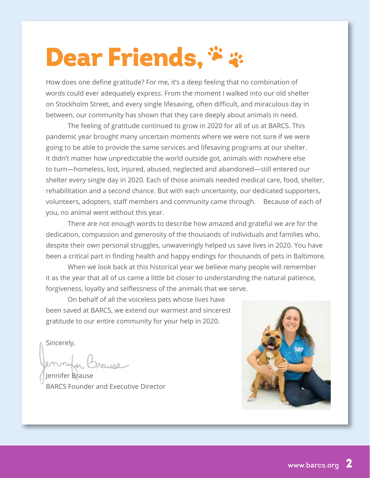## Dear Friends, \*\*

How does one define gratitude? For me, it's a deep feeling that no combination of words could ever adequately express. From the moment I walked into our old shelter on Stockholm Street, and every single lifesaving, often difficult, and miraculous day in between, our community has shown that they care deeply about animals in need.

 The feeling of gratitude continued to grow in 2020 for all of us at BARCS. This pandemic year brought many uncertain moments where we were not sure if we were going to be able to provide the same services and lifesaving programs at our shelter. It didn't matter how unpredictable the world outside got, animals with nowhere else to turn—homeless, lost, injured, abused, neglected and abandoned—still entered our shelter every single day in 2020. Each of those animals needed medical care, food, shelter, rehabilitation and a second chance. But with each uncertainty, our dedicated supporters, volunteers, adopters, staff members and community came through. Because of each of you, no animal went without this year.

 There are not enough words to describe how amazed and grateful we are for the dedication, compassion and generosity of the thousands of individuals and families who, despite their own personal struggles, unwaveringly helped us save lives in 2020. You have been a critical part in finding health and happy endings for thousands of pets in Baltimore.

 When we look back at this historical year we believe many people will remember it as the year that all of us came a little bit closer to understanding the natural patience, forgiveness, loyalty and selflessness of the animals that we serve.

 On behalf of all the voiceless pets whose lives have been saved at BARCS, we extend our warmest and sincerest gratitude to our entire community for your help in 2020.

Sincerely,

Jennifer Brause BARCS Founder and Executive Director

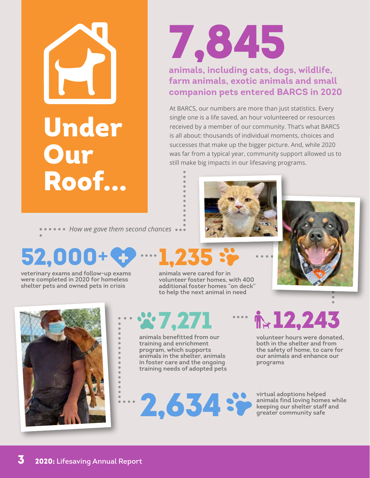



## **animals, including cats, dogs, wildlife, farm animals, exotic animals and small companion pets entered BARCS in 2020**

At BARCS, our numbers are more than just statistics. Every single one is a life saved, an hour volunteered or resources received by a member of our community. That's what BARCS is all about: thousands of individual moments, choices and successes that make up the bigger picture. And, while 2020 was far from a typical year, community support allowed us to still make big impacts in our lifesaving programs.







veterinary exams and follow-up exams were completed in 2020 for homeless shelter pets and owned pets in crisis

**ACCED FOR WE gave them second chances** 

52,00

## 7,271

animals benefitted from our training and enrichment program, which supports animals in the shelter, animals in foster care and the ongoing training needs of adopted pets

 $2,634$  sp

1,235

## $\cdots$   $\frac{1}{12}$ , 243

volunteer hours were donated, both in the shelter and from the safety of home, to care for our animals and enhance our programs

## virtual adoptions helped media adoptions respeated<br>animals find loving homes while<br>keeping our shelter staff and<br>greater community safe

animals were cared for in volunteer foster homes, with 400 additional foster homes "on deck" to help the next animal in need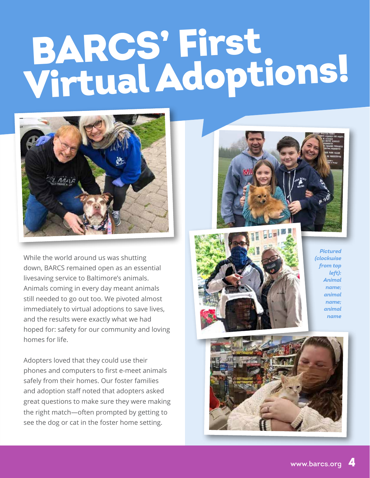# BARCS' First Virtual Adoptions!



While the world around us was shutting down, BARCS remained open as an essential livesaving service to Baltimore's animals. Animals coming in every day meant animals still needed to go out too. We pivoted almost immediately to virtual adoptions to save lives, and the results were exactly what we had hoped for: safety for our community and loving homes for life.

Adopters loved that they could use their phones and computers to first e-meet animals safely from their homes. Our foster families and adoption staff noted that adopters asked great questions to make sure they were making the right match—often prompted by getting to see the dog or cat in the foster home setting.





*Pictured (clockwise from top left): Animal name; animal name; animal name*

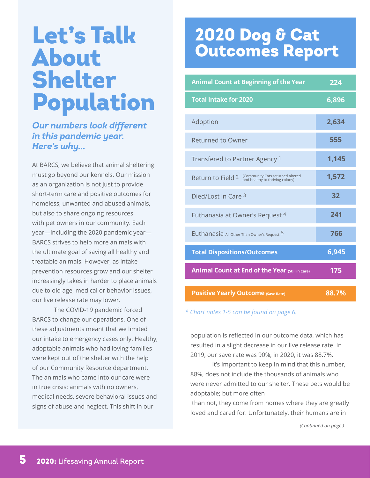## Let's Talk About Shelter Population

#### *Our numbers look different in this pandemic year. Here's why...*

At BARCS, we believe that animal sheltering must go beyond our kennels. Our mission as an organization is not just to provide short-term care and positive outcomes for homeless, unwanted and abused animals, but also to share ongoing resources with pet owners in our community. Each year—including the 2020 pandemic year— BARCS strives to help more animals with the ultimate goal of saving all healthy and treatable animals. However, as intake prevention resources grow and our shelter increasingly takes in harder to place animals due to old age, medical or behavior issues, our live release rate may lower.

 The COVID-19 pandemic forced BARCS to change our operations. One of these adjustments meant that we limited our intake to emergency cases only. Healthy, adoptable animals who had loving families were kept out of the shelter with the help of our Community Resource department. The animals who came into our care were in true crisis: animals with no owners, medical needs, severe behavioral issues and signs of abuse and neglect. This shift in our

## 2020 Dog & Cat Outcomes Report

| <b>Animal Count at Beginning of the Year</b>                                             | 224   |
|------------------------------------------------------------------------------------------|-------|
| <b>Total Intake for 2020</b>                                                             | 6,896 |
| Adoption                                                                                 | 2,634 |
| <b>Returned to Owner</b>                                                                 | 555   |
| Transfered to Partner Agency <sup>1</sup>                                                | 1,145 |
| (Community Cats returned altered<br>Return to Field 2<br>and healthy to thriving colony) | 1,572 |
| Died/Lost in Care 3                                                                      | 32    |
| Euthanasia at Owner's Request 4                                                          | 241   |
| Euthanasia All Other Than Owner's Request 5                                              | 766   |
| <b>Total Dispositions/Outcomes</b>                                                       | 6,945 |
| <b>Animal Count at End of the Year (Still in Care)</b>                                   | 175   |
| <b>Positive Yearly Outcome (Save Rate)</b>                                               | 88.7% |

*\* Chart notes 1-5 can be found on page 6.*

population is reflected in our outcome data, which has resulted in a slight decrease in our live release rate. In 2019, our save rate was 90%; in 2020, it was 88.7%.

 It's important to keep in mind that this number, 88%, does not include the thousands of animals who were never admitted to our shelter. These pets would be adoptable; but more often

than not, they come from homes where they are greatly loved and cared for. Unfortunately, their humans are in

*(Continued on page )*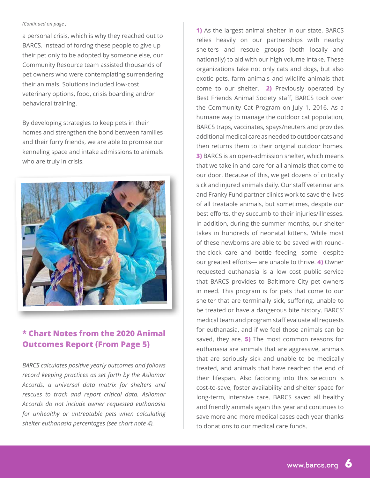#### *(Continued on page )*

a personal crisis, which is why they reached out to BARCS. Instead of forcing these people to give up their pet only to be adopted by someone else, our Community Resource team assisted thousands of pet owners who were contemplating surrendering their animals. Solutions included low-cost veterinary options, food, crisis boarding and/or behavioral training.

By developing strategies to keep pets in their homes and strengthen the bond between families and their furry friends, we are able to promise our kenneling space and intake admissions to animals who are truly in crisis.



### **\* Chart Notes from the 2020 Animal Outcomes Report (From Page 5)**

*BARCS calculates positive yearly outcomes and follows record keeping practices as set forth by the Asilomar Accords, a universal data matrix for shelters and rescues to track and report critical data. Asilomar Accords do not include owner requested euthanasia for unhealthy or untreatable pets when calculating shelter euthanasia percentages (see chart note 4).*

**1)** As the largest animal shelter in our state, BARCS relies heavily on our partnerships with nearby shelters and rescue groups (both locally and nationally) to aid with our high volume intake. These organizations take not only cats and dogs, but also exotic pets, farm animals and wildlife animals that come to our shelter. **2)** Previously operated by Best Friends Animal Society staff, BARCS took over the Community Cat Program on July 1, 2016. As a humane way to manage the outdoor cat population, BARCS traps, vaccinates, spays/neuters and provides additional medical care as needed to outdoor cats and then returns them to their original outdoor homes. **3)** BARCS is an open-admission shelter, which means that we take in and care for all animals that come to our door. Because of this, we get dozens of critically sick and injured animals daily. Our staff veterinarians and Franky Fund partner clinics work to save the lives of all treatable animals, but sometimes, despite our best efforts, they succumb to their injuries/illnesses. In addition, during the summer months, our shelter takes in hundreds of neonatal kittens. While most of these newborns are able to be saved with roundthe-clock care and bottle feeding, some—despite our greatest efforts— are unable to thrive. **4)** Owner requested euthanasia is a low cost public service that BARCS provides to Baltimore City pet owners in need. This program is for pets that come to our shelter that are terminally sick, suffering, unable to be treated or have a dangerous bite history. BARCS' medical team and program staff evaluate all requests for euthanasia, and if we feel those animals can be saved, they are. **5)** The most common reasons for euthanasia are animals that are aggressive, animals that are seriously sick and unable to be medically treated, and animals that have reached the end of their lifespan. Also factoring into this selection is cost-to-save, foster availability and shelter space for long-term, intensive care. BARCS saved all healthy and friendly animals again this year and continues to save more and more medical cases each year thanks to donations to our medical care funds.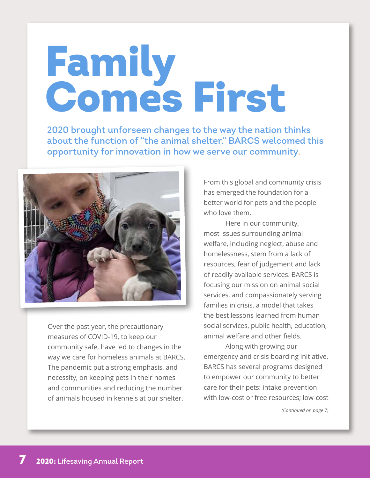# Family Comes First

2020 brought unforseen changes to the way the nation thinks about the function of "the animal shelter." BARCS welcomed this opportunity for innovation in how we serve our community.



Over the past year, the precautionary measures of COVID-19, to keep our community safe, have led to changes in the way we care for homeless animals at BARCS. The pandemic put a strong emphasis, and necessity, on keeping pets in their homes and communities and reducing the number of animals housed in kennels at our shelter.

From this global and community crisis has emerged the foundation for a better world for pets and the people who love them.

 Here in our community, most issues surrounding animal welfare, including neglect, abuse and homelessness, stem from a lack of resources, fear of judgement and lack of readily available services. BARCS is focusing our mission on animal social services, and compassionately serving families in crisis, a model that takes the best lessons learned from human social services, public health, education, animal welfare and other fields.

Along with growing our emergency and crisis boarding initiative, BARCS has several programs designed to empower our community to better care for their pets: intake prevention with low-cost or free resources; low-cost

*(Continued on page 7)*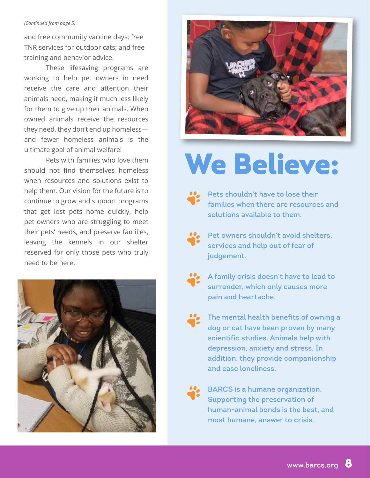#### *(Continued from page 5)*

and free community vaccine days; free TNR services for outdoor cats; and free training and behavior advice.

These lifesaving programs are working to help pet owners in need receive the care and attention their animals need, making it much less likely for them to give up their animals. When owned animals receive the resources they need, they don't end up homeless and fewer homeless animals is the ultimate goal of animal welfare!

Pets with families who love them should not find themselves homeless when resources and solutions exist to help them. Our vision for the future is to continue to grow and support programs that get lost pets home quickly, help pet owners who are struggling to meet their pets' needs, and preserve families, leaving the kennels in our shelter reserved for only those pets who truly need to be here.



## We Believe:



Pets shouldn't have to lose their families when there are resources and solutions available to them.



Pet owners shouldn't avoid shelters, services and help out of fear of judgement.



A family crisis doesn't have to lead to surrender, which only causes more pain and heartache.



The mental health benefits of owning a dog or cat have been proven by many scientific studies. Animals help with depression, anxiety and stress. In addition, they provide companionship and ease loneliness.



BARCS is a humane organization. Supporting the preservation of human-animal bonds is the best, and most humane, answer to crisis.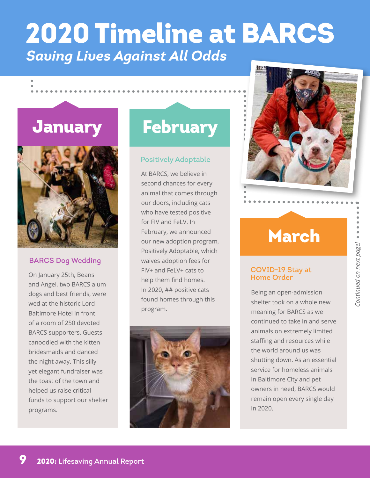## *Saving Lives Against All Odds* 2020 Timeline at BARCS

## **January**



#### BARCS Dog Wedding

On January 25th, Beans<br>help them find homes<br>help them find homes and Angel, two BARCS alum dogs and best friends, were wed at the historic Lord Baltimore Hotel in front of a room of 250 devoted BARCS supporters. Guests canoodled with the kitten bridesmaids and danced the night away. This silly yet elegant fundraiser was the toast of the town and helped us raise critical funds to support our shelter programs.

## **February**

#### Positively Adoptable

At BARCS, we believe in second chances for every animal that comes through our doors, including cats who have tested positive for FIV and FeLV. In February, we announced our new adoption program, Positively Adoptable, which waives adoption fees for FIV+ and FeLV+ cats to help them find homes. In 2020, ## positive cats found homes through this program.





## March

## COVID-19 Stay at

Being an open-admission shelter took on a whole new meaning for BARCS as we continued to take in and serve animals on extremely limited staffing and resources while the world around us was shutting down. As an essential service for homeless animals in Baltimore City and pet owners in need, BARCS would remain open every single day in 2020.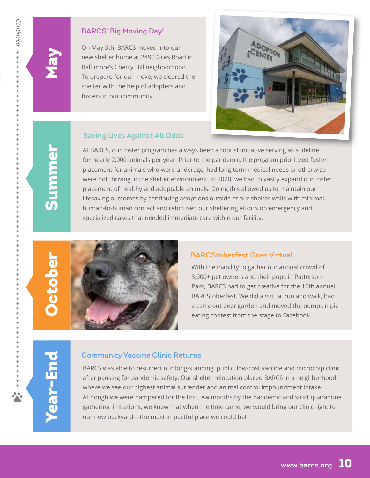*Continued*

Continued •••

 $\bullet$  $\bullet$ 

#### BARCS' Big Moving Day!

On May 5th, BARCS moved into our new shelter home at 2490 Giles Road in Baltimore's Cherry Hill neighborhood. To prepare for our move, we cleared the shelter with the help of adopters and fosters in our community.



#### Saving Lives Against All Odds

At BARCS, our foster program has always been a robust initiative serving as a lifeline for nearly 2,000 animals per year. Prior to the pandemic, the program prioritized foster placement for animals who were underage, had long-term medical needs or otherwise were not thriving in the shelter environment. In 2020, we had to vastly expand our foster placement of healthy and adoptable animals. Doing this allowed us to maintain our lifesaving outcomes by continuing adoptions outside of our shelter walls with minimal human-to-human contact and refocused our sheltering efforts on emergency and specialized cases that needed immediate care within our facility.

# Summer

May



#### BARCStoberfest Goes Virtual

With the inability to gather our annual crowd of 3,000+ pet owners and their pups in Patterson Park, BARCS had to get creative for the 16th annual BARCStoberfest. We did a virtual run and walk, had a carry out beer garden and moved the pumpkin pie eating contest from the stage to Facebook.

#### Community Vaccine Clinic Returns

BARCS was able to resurrect our long-standing, public, low-cost vaccine and microchip clinic after pausing for pandemic safety. Our shelter relocation placed BARCS in a neighborhood where we see our highest animal surrender and animal control impoundment intake. Although we were hampered for the first few months by the pandemic and strict quarantine gathering limitations, we knew that when the time came, we would bring our clinic right to our new backyard—the most impactful place we could be!

Year-End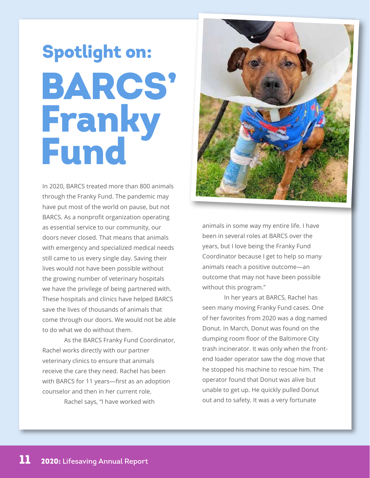# **2020: Lifesaving Annual Report**

## BARCS' Franky Fund Spotlight on:

In 2020, BARCS treated more than 800 animals through the Franky Fund. The pandemic may have put most of the world on pause, but not BARCS. As a nonprofit organization operating as essential service to our community, our doors never closed. That means that animals with emergency and specialized medical needs still came to us every single day. Saving their lives would not have been possible without the growing number of veterinary hospitals we have the privilege of being partnered with. These hospitals and clinics have helped BARCS save the lives of thousands of animals that come through our doors. We would not be able to do what we do without them.

As the BARCS Franky Fund Coordinator, Rachel works directly with our partner veterinary clinics to ensure that animals receive the care they need. Rachel has been with BARCS for 11 years—first as an adoption counselor and then in her current role. Rachel says, "I have worked with

animals in some way my entire life. I have been in several roles at BARCS over the years, but I love being the Franky Fund Coordinator because I get to help so many animals reach a positive outcome—an outcome that may not have been possible without this program."

 In her years at BARCS, Rachel has seen many moving Franky Fund cases. One of her favorites from 2020 was a dog named Donut. In March, Donut was found on the dumping room floor of the Baltimore City trash incinerator. It was only when the frontend loader operator saw the dog move that he stopped his machine to rescue him. The operator found that Donut was alive but unable to get up. He quickly pulled Donut out and to safety. It was a very fortunate

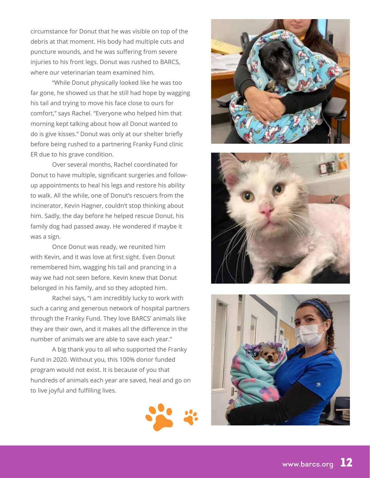circumstance for Donut that he was visible on top of the debris at that moment. His body had multiple cuts and puncture wounds, and he was suffering from severe injuries to his front legs. Donut was rushed to BARCS, where our veterinarian team examined him.

 "While Donut physically looked like he was too far gone, he showed us that he still had hope by wagging his tail and trying to move his face close to ours for comfort," says Rachel. "Everyone who helped him that morning kept talking about how all Donut wanted to do is give kisses." Donut was only at our shelter briefly before being rushed to a partnering Franky Fund clinic ER due to his grave condition.

 Over several months, Rachel coordinated for Donut to have multiple, significant surgeries and followup appointments to heal his legs and restore his ability to walk. All the while, one of Donut's rescuers from the incinerator, Kevin Hagner, couldn't stop thinking about him. Sadly, the day before he helped rescue Donut, his family dog had passed away. He wondered if maybe it was a sign.

 Once Donut was ready, we reunited him with Kevin, and it was love at first sight. Even Donut remembered him, wagging his tail and prancing in a way we had not seen before. Kevin knew that Donut belonged in his family, and so they adopted him.

 Rachel says, "I am incredibly lucky to work with such a caring and generous network of hospital partners through the Franky Fund. They love BARCS' animals like they are their own, and it makes all the difference in the number of animals we are able to save each year."

A big thank you to all who supported the Franky Fund in 2020. Without you, this 100% donor funded program would not exist. It is because of you that hundreds of animals each year are saved, heal and go on to live joyful and fulfilling lives.







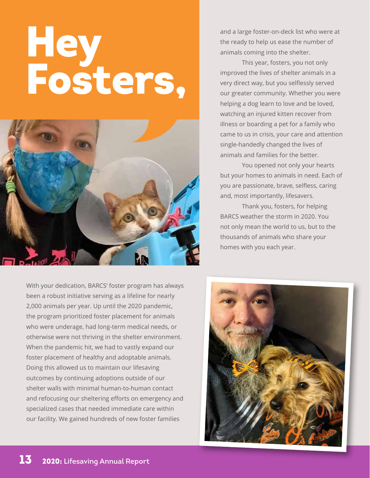# **Hey** Fosters,



With your dedication, BARCS' foster program has always been a robust initiative serving as a lifeline for nearly 2,000 animals per year. Up until the 2020 pandemic, the program prioritized foster placement for animals who were underage, had long-term medical needs, or otherwise were not thriving in the shelter environment. When the pandemic hit, we had to vastly expand our foster placement of healthy and adoptable animals. Doing this allowed us to maintain our lifesaving outcomes by continuing adoptions outside of our shelter walls with minimal human-to-human contact and refocusing our sheltering efforts on emergency and specialized cases that needed immediate care within our facility. We gained hundreds of new foster families

and a large foster-on-deck list who were at the ready to help us ease the number of animals coming into the shelter.

This year, fosters, you not only improved the lives of shelter animals in a very direct way, but you selflessly served our greater community. Whether you were helping a dog learn to love and be loved, watching an injured kitten recover from illness or boarding a pet for a family who came to us in crisis, your care and attention single-handedly changed the lives of animals and families for the better.

You opened not only your hearts but your homes to animals in need. Each of you are passionate, brave, selfless, caring and, most importantly, lifesavers.

Thank you, fosters, for helping BARCS weather the storm in 2020. You not only mean the world to us, but to the thousands of animals who share your homes with you each year.

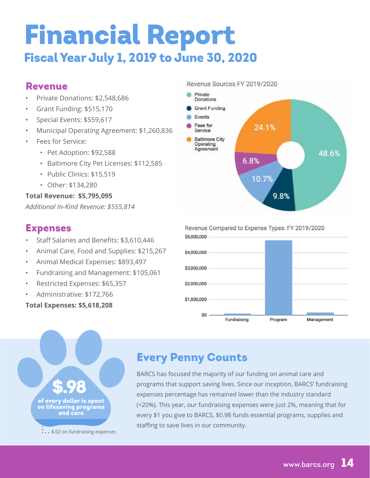## Financial Report Fiscal Year July 1, 2019 to June 30, 2020

## Revenue

- Private Donations: \$2,548,686
- Grant Funding: \$515,170
- Special Events: \$559,617
- Municipal Operating Agreement: \$1,260,836
- Fees for Service:
	- Pet Adoption: \$92,588
	- Baltimore City Pet Licenses: \$112,585
	- Public Clinics: \$15,519
	- Other: \$134,280

#### **Total Revenue: \$5,795,095**

*Additional In-Kind Revenue: \$555,814*

### Expenses

- Staff Salaries and Benefits: \$3,610,446
- Animal Care, Food and Supplies: \$215,267
- Animal Medical Expenses: \$893,497
- Fundraising and Management: \$105,061
- Restricted Expenses: \$65,357
- Administrative: \$172,766

**Total Expenses: \$5,618,208**

#### Revenue Sources FY 2019/2020



#### Revenue Compared to Expense Types: FY 2019/2020 \$5,000,000





## Every Penny Counts

BARCS has focused the majority of our funding on animal care and programs that support saving lives. Since our inception, BARCS' fundraising expenses percentage has remained lower than the industry standard (<20%). This year, our fundraising expenses were just 2%, meaning that for every \$1 you give to BARCS, \$0.98 funds essential programs, supplies and staffing to save lives in our community.